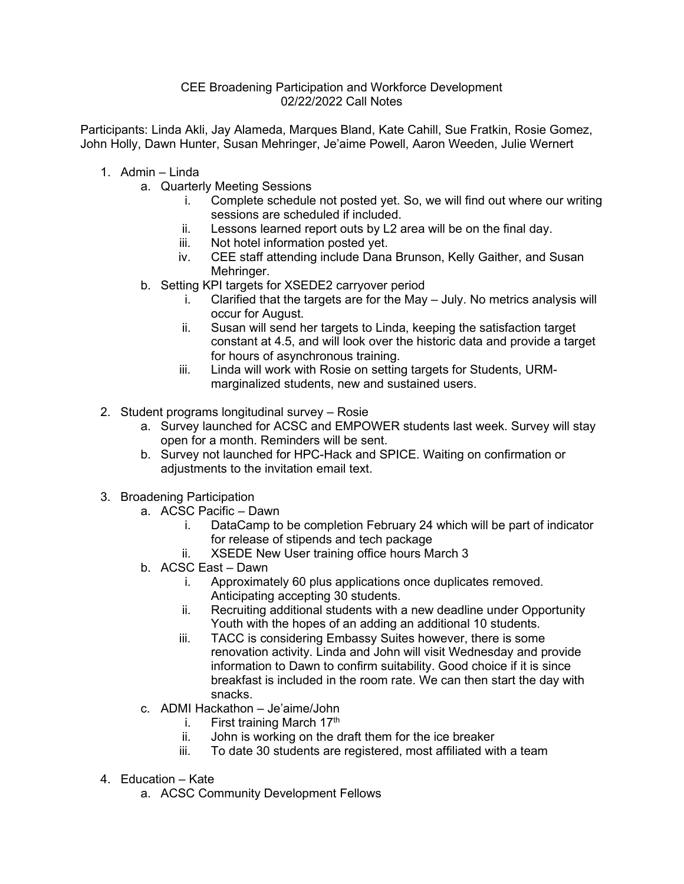## CEE Broadening Participation and Workforce Development 02/22/2022 Call Notes

Participants: Linda Akli, Jay Alameda, Marques Bland, Kate Cahill, Sue Fratkin, Rosie Gomez, John Holly, Dawn Hunter, Susan Mehringer, Je'aime Powell, Aaron Weeden, Julie Wernert

- 1. Admin Linda
	- a. Quarterly Meeting Sessions
		- i. Complete schedule not posted yet. So, we will find out where our writing sessions are scheduled if included.
		- ii. Lessons learned report outs by L2 area will be on the final day.
		- iii. Not hotel information posted yet.
		- iv. CEE staff attending include Dana Brunson, Kelly Gaither, and Susan Mehringer.
	- b. Setting KPI targets for XSEDE2 carryover period
		- i. Clarified that the targets are for the May July. No metrics analysis will occur for August.
		- ii. Susan will send her targets to Linda, keeping the satisfaction target constant at 4.5, and will look over the historic data and provide a target for hours of asynchronous training.
		- iii. Linda will work with Rosie on setting targets for Students, URMmarginalized students, new and sustained users.
- 2. Student programs longitudinal survey Rosie
	- a. Survey launched for ACSC and EMPOWER students last week. Survey will stay open for a month. Reminders will be sent.
	- b. Survey not launched for HPC-Hack and SPICE. Waiting on confirmation or adiustments to the invitation email text.
- 3. Broadening Participation
	- a. ACSC Pacific Dawn
		- i. DataCamp to be completion February 24 which will be part of indicator for release of stipends and tech package
		- ii. XSEDE New User training office hours March 3
	- b. ACSC East Dawn
		- i. Approximately 60 plus applications once duplicates removed. Anticipating accepting 30 students.
		- ii. Recruiting additional students with a new deadline under Opportunity Youth with the hopes of an adding an additional 10 students.
		- iii. TACC is considering Embassy Suites however, there is some renovation activity. Linda and John will visit Wednesday and provide information to Dawn to confirm suitability. Good choice if it is since breakfast is included in the room rate. We can then start the day with snacks.
	- c. ADMI Hackathon Je'aime/John
		- i. First training March  $17<sup>th</sup>$
		- ii. John is working on the draft them for the ice breaker<br>iii. To date 30 students are registered, most affiliated wit
		- To date 30 students are registered, most affiliated with a team
- 4. Education Kate
	- a. ACSC Community Development Fellows